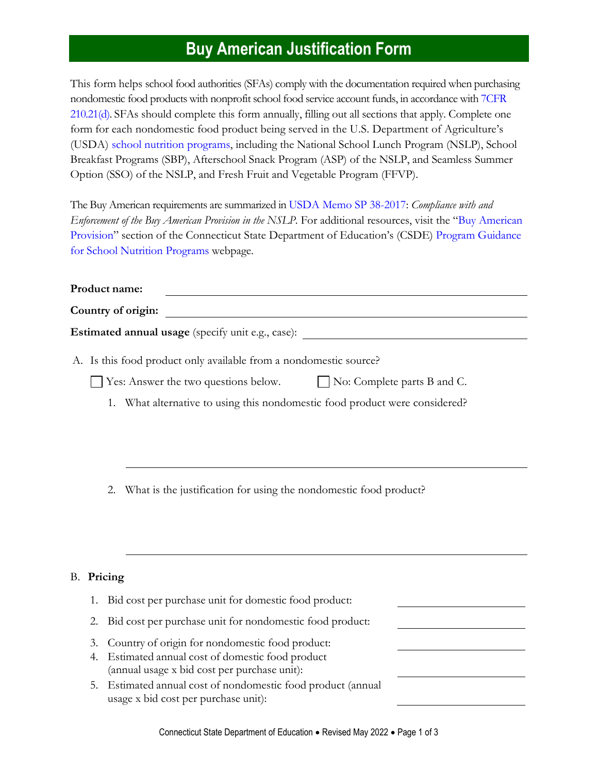## **Buy American Justification Form**

This form helps school food authorities (SFAs) comply with the documentation required when purchasing nondomestic food products with nonprofit school food service account funds, in accordance wit[h 7CFR](https://www.ecfr.gov/cgi-bin/text-idx?SID=4c211a738d6109939c6054a6286ac109&mc=true&node=pt7.4.210&rgn=div5#se7.4.210_121)  [210.21\(d\).](https://www.ecfr.gov/cgi-bin/text-idx?SID=4c211a738d6109939c6054a6286ac109&mc=true&node=pt7.4.210&rgn=div5#se7.4.210_121) SFAs should complete this form annually, filling out all sections that apply. Complete one form for each nondomestic food product being served in the U.S. Department of Agriculture's (USDA) school nutrition [programs,](https://portal.ct.gov/SDE/Nutrition/School-Nutrition-Programs) including the National School Lunch Program (NSLP), School Breakfast Programs (SBP), Afterschool Snack Program (ASP) of the NSLP, and Seamless Summer Option (SSO) of the NSLP, and Fresh Fruit and Vegetable Program (FFVP).

The Buy American requirements are summarized i[n USDA Memo SP 38-2017:](https://www.fns.usda.gov/school-meals/compliance-enforcement-buy-american) *Compliance with and Enforcement of the Buy American Provision in the NSLP.* For additional resources, visit the "[Buy American](https://portal.ct.gov/SDE/Nutrition/Program-Guidance-School-Nutrition-Programs#b)  [Provision](https://portal.ct.gov/SDE/Nutrition/Program-Guidance-School-Nutrition-Programs#b)" section of the Connecticut State Department of Education's (CSDE) [Program Guidance](https://portal.ct.gov/SDE/Nutrition/Program-Guidance-School-Nutrition-Programs)  [for School Nutrition Programs](https://portal.ct.gov/SDE/Nutrition/Program-Guidance-School-Nutrition-Programs) webpage.

| Product name:                                                     |                                    |  |  |  |
|-------------------------------------------------------------------|------------------------------------|--|--|--|
| Country of origin:                                                |                                    |  |  |  |
| <b>Estimated annual usage</b> (specify unit e.g., case):          |                                    |  |  |  |
| A. Is this food product only available from a nondomestic source? |                                    |  |  |  |
| $\blacksquare$ Yes: Answer the two questions below.               | $\Box$ No: Complete parts B and C. |  |  |  |

- 1. What alternative to using this nondomestic food product were considered?
- 2. What is the justification for using the nondomestic food product?

## B. **Pricing**

| 1. Bid cost per purchase unit for domestic food product:                                             |  |
|------------------------------------------------------------------------------------------------------|--|
| 2. Bid cost per purchase unit for nondomestic food product:                                          |  |
| 3. Country of origin for nondomestic food product:                                                   |  |
| 4. Estimated annual cost of domestic food product<br>(annual usage x bid cost per purchase unit):    |  |
| 5. Estimated annual cost of nondomestic food product (annual<br>usage x bid cost per purchase unit): |  |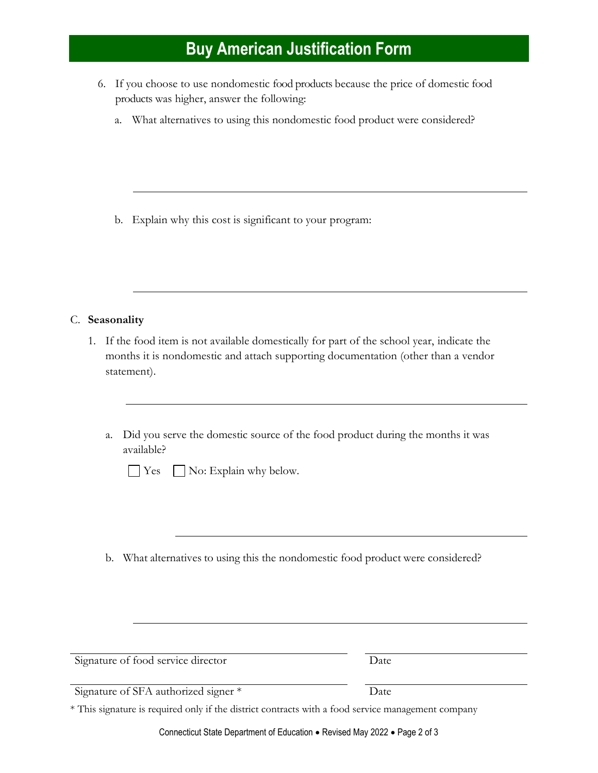## **Buy American Justification Form**

- 6. If you choose to use nondomestic food products because the price of domestic food products was higher, answer the following:
	- a. What alternatives to using this nondomestic food product were considered?

b. Explain why this cost is significant to your program:

C. **Seasonality**

- 1. If the food item is not available domestically for part of the school year, indicate the months it is nondomestic and attach supporting documentation (other than a vendor statement).
	- a. Did you serve the domestic source of the food product during the months it was available?

 $\Box$  Yes  $\Box$  No: Explain why below.

b. What alternatives to using this the nondomestic food product were considered?

| Signature of food service director                                                                 | Date |  |
|----------------------------------------------------------------------------------------------------|------|--|
| Signature of SFA authorized signer *                                                               | Date |  |
| * This signature is required only if the district contracts with a food service management company |      |  |